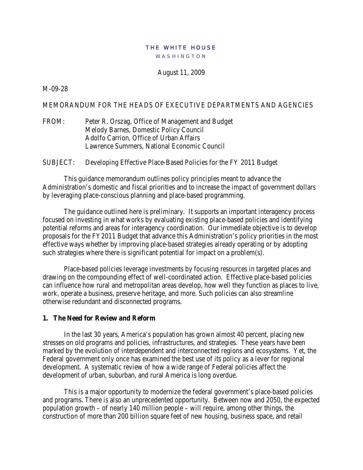## THE WHITE HOUSE WASHINGTON

### August 11, 2009

### M-09-28

#### MEMORANDUM FOR THE HEADS OF EXECUTIVE DEPARTMENTS AND AGENCIES

| FROM: | Peter R. Orszag, Office of Management and Budget |
|-------|--------------------------------------------------|
|       | Melody Barnes, Domestic Policy Council           |
|       | Adolfo Carrion, Office of Urban Affairs          |
|       | Lawrence Summers, National Economic Council      |

SUBJECT: Developing Effective Place-Based Policies for the FY 2011 Budget

This guidance memorandum outlines policy principles meant to advance the Administration's domestic and fiscal priorities and to increase the impact of government dollars by leveraging place-conscious planning and place-based programming.

The guidance outlined here is preliminary. It supports an important interagency process focused on investing in what works by evaluating existing place-based policies and identifying potential reforms and areas for interagency coordination. Our immediate objective is to develop proposals for the FY2011 Budget that advance this Administration's policy priorities in the most effective ways whether by improving place-based strategies already operating or by adopting such strategies where there is significant potential for impact on a problem(s).

Place-based policies leverage investments by focusing resources in targeted places and drawing on the compounding effect of well-coordinated action. Effective place-based policies can influence how rural and metropolitan areas develop, how well they function as places to live, work, operate a business, preserve heritage, and more. Such policies can also streamline otherwise redundant and disconnected programs.

#### **1. The Need for Review and Reform**

In the last 30 years, America's population has grown almost 40 percent, placing new stresses on old programs and policies, infrastructures, and strategies. These years have been marked by the evolution of interdependent and interconnected regions and ecosystems. Yet, the Federal government only once has examined the best use of its policy as a lever for regional development. A systematic review of how a wide range of Federal policies affect the development of urban, suburban, and rural America is long overdue.

This is a major opportunity to modernize the federal government's place-based policies and programs. There is also an unprecedented opportunity. Between now and 2050, the expected population growth – of nearly 140 million people – will require, among other things, the construction of more than 200 billion square feet of new housing, business space, and retail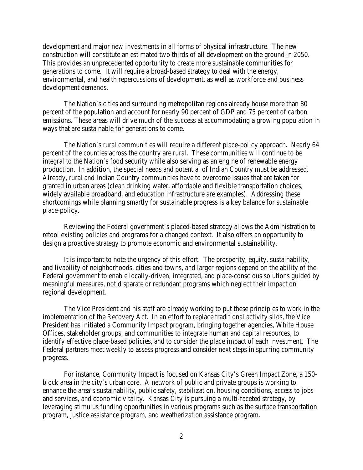development and major new investments in all forms of physical infrastructure. The new construction will constitute an estimated two thirds of all development on the ground in 2050. This provides an unprecedented opportunity to create more sustainable communities for generations to come. It will require a broad-based strategy to deal with the energy, environmental, and health repercussions of development, as well as workforce and business development demands.

The Nation's cities and surrounding metropolitan regions already house more than 80 percent of the population and account for nearly 90 percent of GDP and 75 percent of carbon emissions. These areas will drive much of the success at accommodating a growing population in ways that are sustainable for generations to come.

The Nation's rural communities will require a different place-policy approach. Nearly 64 percent of the counties across the country are rural. These communities will continue to be integral to the Nation's food security while also serving as an engine of renewable energy production. In addition, the special needs and potential of Indian Country must be addressed. Already, rural and Indian Country communities have to overcome issues that are taken for granted in urban areas (clean drinking water, affordable and flexible transportation choices, widely available broadband, and education infrastructure are examples). Addressing these shortcomings while planning smartly for sustainable progress is a key balance for sustainable place-policy.

Reviewing the Federal government's placed-based strategy allows the Administration to retool existing policies and programs for a changed context. It also offers an opportunity to design a proactive strategy to promote economic and environmental sustainability.

It is important to note the urgency of this effort. The prosperity, equity, sustainability, and livability of neighborhoods, cities and towns, and larger regions depend on the ability of the Federal government to enable locally-driven, integrated, and place-conscious solutions guided by meaningful measures, not disparate or redundant programs which neglect their impact on regional development.

The Vice President and his staff are already working to put these principles to work in the implementation of the Recovery Act. In an effort to replace traditional activity silos, the Vice President has initiated a Community Impact program, bringing together agencies, White House Offices, stakeholder groups, and communities to integrate human and capital resources, to identify effective place-based policies, and to consider the place impact of each investment. The Federal partners meet weekly to assess progress and consider next steps in spurring community progress.

For instance, Community Impact is focused on Kansas City's Green Impact Zone, a 150 block area in the city's urban core. A network of public and private groups is working to enhance the area's sustainability, public safety, stabilization, housing conditions, access to jobs and services, and economic vitality. Kansas City is pursuing a multi-faceted strategy, by leveraging stimulus funding opportunities in various programs such as the surface transportation program, justice assistance program, and weatherization assistance program.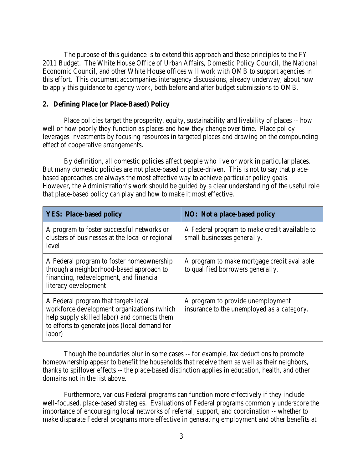The purpose of this guidance is to extend this approach and these principles to the FY 2011 Budget. The White House Office of Urban Affairs, Domestic Policy Council, the National Economic Council, and other White House offices will work with OMB to support agencies in this effort. This document accompanies interagency discussions, already underway, about how to apply this guidance to agency work, both before and after budget submissions to OMB.

## **2. Defining Place (or Place-Based) Policy**

Place policies target the prosperity, equity, sustainability and livability of places -- how well or how poorly they function as places and how they change over time. Place policy leverages investments by focusing resources in targeted places and drawing on the compounding effect of cooperative arrangements.

By definition, all domestic policies affect people who live or work in particular places. But many domestic policies are not place-based or place-driven. This is not to say that placebased approaches are always the most effective way to achieve particular policy goals. However, the Administration's work should be guided by a clear understanding of the useful role that place-based policy can play and how to make it most effective.

| <b>YES: Place-based policy</b>                                                                                                                                                                | NO: Not a place-based policy                                                             |
|-----------------------------------------------------------------------------------------------------------------------------------------------------------------------------------------------|------------------------------------------------------------------------------------------|
| A program to foster successful networks or<br>clusters of businesses at the local or regional<br>level                                                                                        | A Federal program to make credit available to<br>small businesses <i>generally</i> .     |
| A Federal program to foster homeownership<br>through a neighborhood-based approach to<br>financing, redevelopment, and financial<br>literacy development                                      | A program to make mortgage credit available<br>to qualified borrowers <i>generally</i> . |
| A Federal program that targets local<br>workforce development organizations (which<br>help supply skilled labor) and connects them<br>to efforts to generate jobs (local demand for<br>labor) | A program to provide unemployment<br>insurance to the unemployed as a category.          |

Though the boundaries blur in some cases -- for example, tax deductions to promote homeownership appear to benefit the households that receive them as well as their neighbors, thanks to spillover effects -- the place-based distinction applies in education, health, and other domains not in the list above.

Furthermore, various Federal programs can function more effectively if they include well-focused, place-based strategies. Evaluations of Federal programs commonly underscore the importance of encouraging local networks of referral, support, and coordination -- whether to make disparate Federal programs more effective in generating employment and other benefits at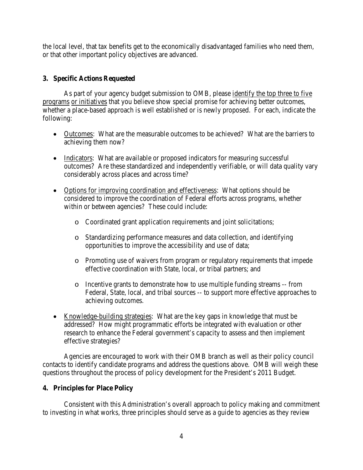the local level, that tax benefits get to the economically disadvantaged families who need them, or that other important policy objectives are advanced.

# **3. Specific Actions Requested**

As part of your agency budget submission to OMB, please identify the top three to five programs or initiatives that you believe show special promise for achieving better outcomes, whether a place-based approach is well established or is newly proposed. For each, indicate the following:

- Outcomes: What are the measurable outcomes to be achieved? What are the barriers to achieving them now?
- Indicators: What are available or proposed indicators for measuring successful outcomes? Are these standardized and independently verifiable, or will data quality vary considerably across places and across time?
- Options for improving coordination and effectiveness: What options should be considered to improve the coordination of Federal efforts across programs, whether within or between agencies? These could include:
	- o Coordinated grant application requirements and joint solicitations;
	- o Standardizing performance measures and data collection, and identifying opportunities to improve the accessibility and use of data;
	- o Promoting use of waivers from program or regulatory requirements that impede effective coordination with State, local, or tribal partners; and
	- o Incentive grants to demonstrate how to use multiple funding streams -- from Federal, State, local, and tribal sources -- to support more effective approaches to achieving outcomes.
- Knowledge-building strategies: What are the key gaps in knowledge that must be addressed? How might programmatic efforts be integrated with evaluation or other research to enhance the Federal government's capacity to assess and then implement effective strategies?

Agencies are encouraged to work with their OMB branch as well as their policy council contacts to identify candidate programs and address the questions above. OMB will weigh these questions throughout the process of policy development for the President's 2011 Budget.

# **4. Principles for Place Policy**

Consistent with this Administration's overall approach to policy making and commitment to investing in what works, three principles should serve as a guide to agencies as they review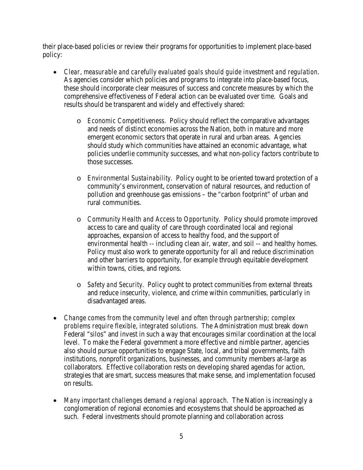their place-based policies or review their programs for opportunities to implement place-based policy:

- *Clear, measurable and carefully evaluated goals should guide investment and regulation.*  As agencies consider which policies and programs to integrate into place-based focus, these should incorporate clear measures of success and concrete measures by which the comprehensive effectiveness of Federal action can be evaluated over time. Goals and results should be transparent and widely and effectively shared:
	- o *Economic Competitiveness.* Policy should reflect the comparative advantages and needs of distinct economies across the Nation, both in mature and more emergent economic sectors that operate in rural and urban areas. Agencies should study which communities have attained an economic advantage, what policies underlie community successes, and what non-policy factors contribute to those successes.
	- o *Environmental Sustainability.* Policy ought to be oriented toward protection of a community's environment, conservation of natural resources, and reduction of pollution and greenhouse gas emissions – the "carbon footprint" of urban and rural communities.
	- o *Community Health and Access to Opportunity.* Policy should promote improved access to care and quality of care through coordinated local and regional approaches, expansion of access to healthy food, and the support of environmental health -- including clean air, water, and soil -- and healthy homes. Policy must also work to generate opportunity for all and reduce discrimination and other barriers to opportunity, for example through equitable development within towns, cities, and regions.
	- o *Safety and Security.* Policy ought to protect communities from external threats and reduce insecurity, violence, and crime within communities, particularly in disadvantaged areas.
- *Change comes from the community level and often through partnership; complex problems require flexible, integrated solutions.* The Administration must break down Federal "silos" and invest in such a way that encourages similar coordination at the local level. To make the Federal government a more effective and nimble partner, agencies also should pursue opportunities to engage State, local, and tribal governments, faith institutions, nonprofit organizations, businesses, and community members at-large as collaborators. Effective collaboration rests on developing shared agendas for action, strategies that are smart, success measures that make sense, and implementation focused on results.
- *Many important challenges demand a regional approach.* The Nation is increasingly a conglomeration of regional economies and ecosystems that should be approached as such. Federal investments should promote planning and collaboration across